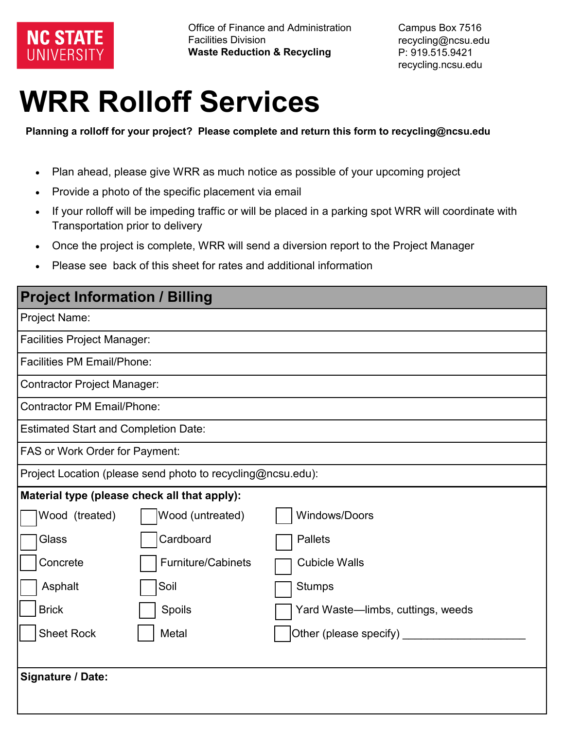

Campus Box 7516 recycling@ncsu.edu P: 919.515.9421 recycling.ncsu.edu

## **WRR Rolloff Services**

**Planning a rolloff for your project? Please complete and return this form to recycling@ncsu.edu**

- Plan ahead, please give WRR as much notice as possible of your upcoming project
- Provide a photo of the specific placement via email
- If your rolloff will be impeding traffic or will be placed in a parking spot WRR will coordinate with Transportation prior to delivery
- Once the project is complete, WRR will send a diversion report to the Project Manager
- Please see back of this sheet for rates and additional information

| <b>Project Information / Billing</b>                        |                           |                                   |  |  |
|-------------------------------------------------------------|---------------------------|-----------------------------------|--|--|
| <b>Project Name:</b>                                        |                           |                                   |  |  |
| <b>Facilities Project Manager:</b>                          |                           |                                   |  |  |
| <b>Facilities PM Email/Phone:</b>                           |                           |                                   |  |  |
| <b>Contractor Project Manager:</b>                          |                           |                                   |  |  |
| <b>Contractor PM Email/Phone:</b>                           |                           |                                   |  |  |
| <b>Estimated Start and Completion Date:</b>                 |                           |                                   |  |  |
| FAS or Work Order for Payment:                              |                           |                                   |  |  |
| Project Location (please send photo to recycling@ncsu.edu): |                           |                                   |  |  |
| Material type (please check all that apply):                |                           |                                   |  |  |
| Wood (treated)                                              | Wood (untreated)          | <b>Windows/Doors</b>              |  |  |
| Glass                                                       | Cardboard                 | <b>Pallets</b>                    |  |  |
| Concrete                                                    | <b>Furniture/Cabinets</b> | <b>Cubicle Walls</b>              |  |  |
| Asphalt                                                     | Soil                      | <b>Stumps</b>                     |  |  |
| <b>Brick</b>                                                | Spoils                    | Yard Waste-limbs, cuttings, weeds |  |  |
| <b>Sheet Rock</b>                                           | Metal                     | Other (please specify) _____      |  |  |
|                                                             |                           |                                   |  |  |
| Signature / Date:                                           |                           |                                   |  |  |
|                                                             |                           |                                   |  |  |